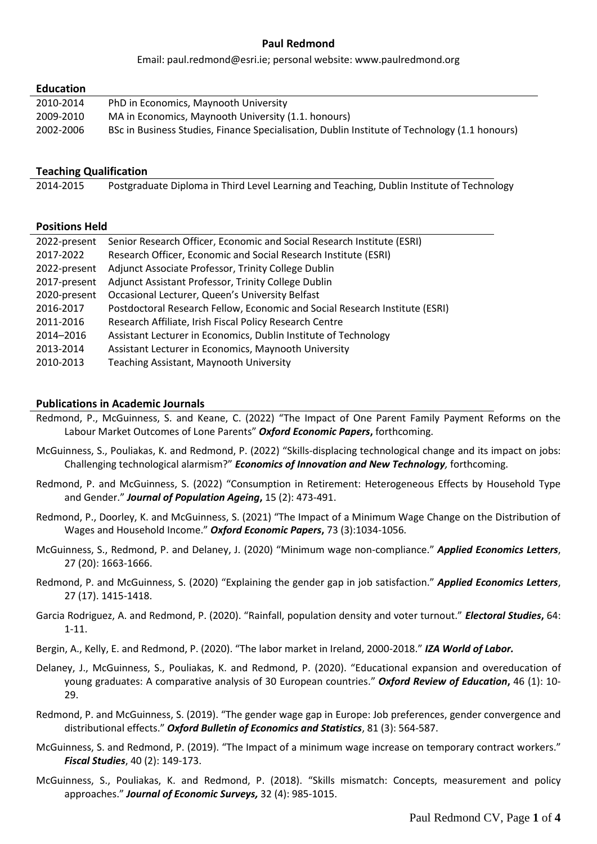## **Paul Redmond**

Email: paul.redmond@esri.ie; personal website: www.paulredmond.org

## **Education**

| 2010-2014 | PhD in Economics, Maynooth University                                                         |
|-----------|-----------------------------------------------------------------------------------------------|
| 2009-2010 | MA in Economics, Maynooth University (1.1. honours)                                           |
| 2002-2006 | BSc in Business Studies, Finance Specialisation, Dublin Institute of Technology (1.1 honours) |

## **Teaching Qualification**

2014-2015 Postgraduate Diploma in Third Level Learning and Teaching, Dublin Institute of Technology

## **Positions Held**

| 2022-present | Senior Research Officer, Economic and Social Research Institute (ESRI)      |
|--------------|-----------------------------------------------------------------------------|
| 2017-2022    | Research Officer, Economic and Social Research Institute (ESRI)             |
| 2022-present | Adjunct Associate Professor, Trinity College Dublin                         |
| 2017-present | Adjunct Assistant Professor, Trinity College Dublin                         |
| 2020-present | Occasional Lecturer, Queen's University Belfast                             |
| 2016-2017    | Postdoctoral Research Fellow, Economic and Social Research Institute (ESRI) |
| 2011-2016    | Research Affiliate, Irish Fiscal Policy Research Centre                     |
| 2014-2016    | Assistant Lecturer in Economics, Dublin Institute of Technology             |
| 2013-2014    | Assistant Lecturer in Economics, Maynooth University                        |
| 2010-2013    | Teaching Assistant, Maynooth University                                     |

## **Publications in Academic Journals**

- Redmond, P., McGuinness, S. and Keane, C. (2022) "The Impact of One Parent Family Payment Reforms on the Labour Market Outcomes of Lone Parents" *Oxford Economic Papers***,** forthcoming.
- McGuinness, S., Pouliakas, K. and Redmond, P. (2022) "Skills-displacing technological change and its impact on jobs: Challenging technological alarmism?" *Economics of Innovation and New Technology,* forthcoming.
- Redmond, P. and McGuinness, S. (2022) "Consumption in Retirement: Heterogeneous Effects by Household Type and Gender." *Journal of Population Ageing***,** 15 (2): 473-491.
- Redmond, P., Doorley, K. and McGuinness, S. (2021) "The Impact of a Minimum Wage Change on the Distribution of Wages and Household Income." *Oxford Economic Papers***,** 73 (3):1034-1056*.*
- McGuinness, S., Redmond, P. and Delaney, J. (2020) "Minimum wage non-compliance." *Applied Economics Letters*, 27 (20): 1663-1666.
- Redmond, P. and McGuinness, S. (2020) "Explaining the gender gap in job satisfaction." *Applied Economics Letters*, 27 (17). 1415-1418.
- Garcia Rodriguez, A. and Redmond, P. (2020). "Rainfall, population density and voter turnout." *Electoral Studies***,** 64: 1-11.
- Bergin, A., Kelly, E. and Redmond, P. (2020). "The labor market in Ireland, 2000-2018." *IZA World of Labor.*
- Delaney, J., McGuinness, S., Pouliakas, K. and Redmond, P. (2020). "Educational expansion and overeducation of young graduates: A comparative analysis of 30 European countries." *Oxford Review of Education***,** 46 (1): 10- 29.
- Redmond, P. and McGuinness, S. (2019). "The gender wage gap in Europe: Job preferences, gender convergence and distributional effects." *Oxford Bulletin of Economics and Statistics*, 81 (3): 564-587.
- McGuinness, S. and Redmond, P. (2019). "The Impact of a minimum wage increase on temporary contract workers." *Fiscal Studies*, 40 (2): 149-173.
- McGuinness, S., Pouliakas, K. and Redmond, P. (2018). "Skills mismatch: Concepts, measurement and policy approaches." *Journal of Economic Surveys,* 32 (4): 985-1015.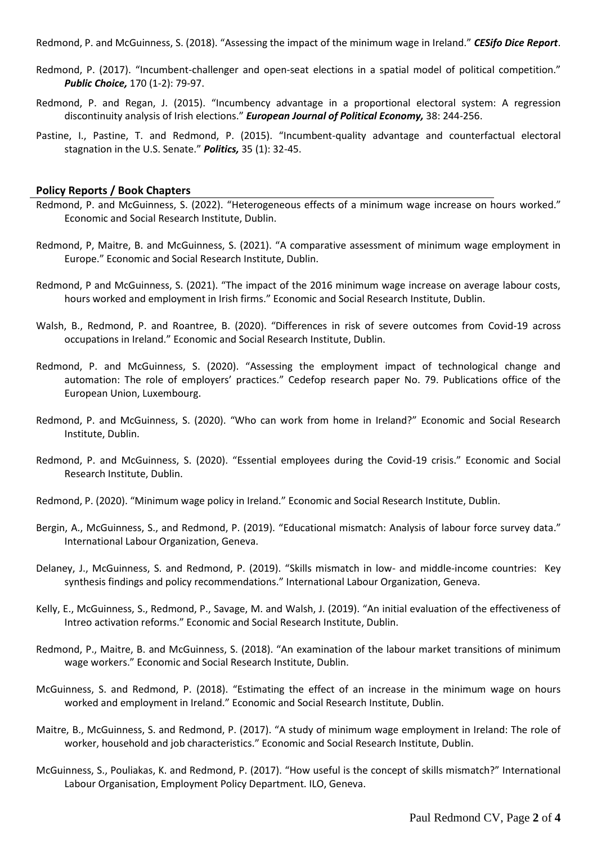Redmond, P. and McGuinness, S. (2018). "Assessing the impact of the minimum wage in Ireland." *CESifo Dice Report*.

- Redmond, P. (2017). "Incumbent-challenger and open-seat elections in a spatial model of political competition." *Public Choice,* 170 (1-2): 79-97.
- Redmond, P. and Regan, J. (2015). "Incumbency advantage in a proportional electoral system: A regression discontinuity analysis of Irish elections." *European Journal of Political Economy,* 38: 244-256.
- Pastine, I., Pastine, T. and Redmond, P. (2015). "Incumbent-quality advantage and counterfactual electoral stagnation in the U.S. Senate." *Politics,* 35 (1): 32-45.

### **Policy Reports / Book Chapters**

- Redmond, P. and McGuinness, S. (2022). "Heterogeneous effects of a minimum wage increase on hours worked." Economic and Social Research Institute, Dublin.
- Redmond, P, Maitre, B. and McGuinness, S. (2021). "A comparative assessment of minimum wage employment in Europe." Economic and Social Research Institute, Dublin.
- Redmond, P and McGuinness, S. (2021). "The impact of the 2016 minimum wage increase on average labour costs, hours worked and employment in Irish firms." Economic and Social Research Institute, Dublin.
- Walsh, B., Redmond, P. and Roantree, B. (2020). "Differences in risk of severe outcomes from Covid-19 across occupations in Ireland." Economic and Social Research Institute, Dublin.
- Redmond, P. and McGuinness, S. (2020). "Assessing the employment impact of technological change and automation: The role of employers' practices." Cedefop research paper No. 79. Publications office of the European Union, Luxembourg.
- Redmond, P. and McGuinness, S. (2020). "Who can work from home in Ireland?" Economic and Social Research Institute, Dublin.
- Redmond, P. and McGuinness, S. (2020). "Essential employees during the Covid-19 crisis." Economic and Social Research Institute, Dublin.
- Redmond, P. (2020). "Minimum wage policy in Ireland." Economic and Social Research Institute, Dublin.
- Bergin, A., McGuinness, S., and Redmond, P. (2019). "Educational mismatch: Analysis of labour force survey data." International Labour Organization, Geneva.
- Delaney, J., McGuinness, S. and Redmond, P. (2019). "Skills mismatch in low- and middle-income countries: Key synthesis findings and policy recommendations." International Labour Organization, Geneva.
- Kelly, E., McGuinness, S., Redmond, P., Savage, M. and Walsh, J. (2019). "An initial evaluation of the effectiveness of Intreo activation reforms." Economic and Social Research Institute, Dublin.
- Redmond, P., Maitre, B. and McGuinness, S. (2018). "An examination of the labour market transitions of minimum wage workers." Economic and Social Research Institute, Dublin.
- McGuinness, S. and Redmond, P. (2018). "Estimating the effect of an increase in the minimum wage on hours worked and employment in Ireland." Economic and Social Research Institute, Dublin.
- Maitre, B., McGuinness, S. and Redmond, P. (2017). "A study of minimum wage employment in Ireland: The role of worker, household and job characteristics." Economic and Social Research Institute, Dublin.
- McGuinness, S., Pouliakas, K. and Redmond, P. (2017). "How useful is the concept of skills mismatch?" International Labour Organisation, Employment Policy Department. ILO, Geneva.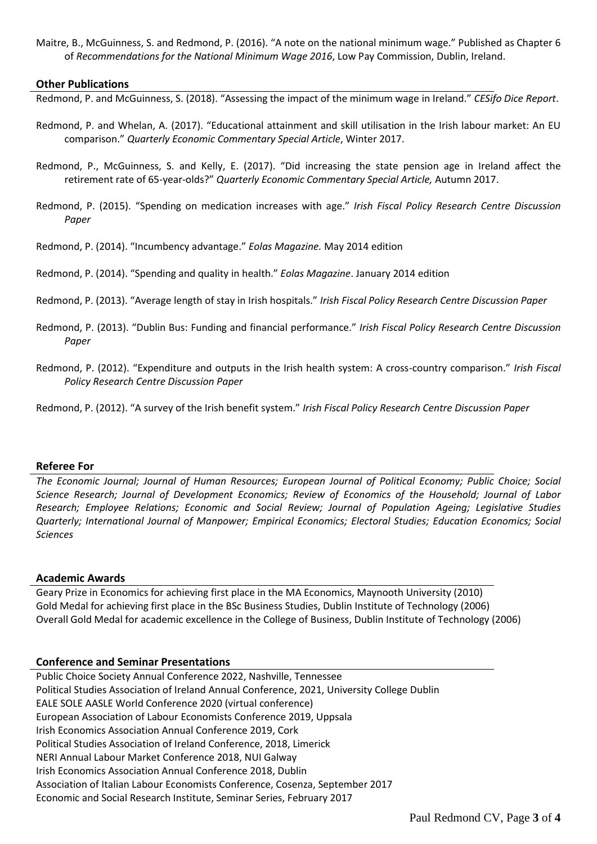Maitre, B., McGuinness, S. and Redmond, P. (2016). "A note on the national minimum wage." Published as Chapter 6 of *Recommendations for the National Minimum Wage 2016*, Low Pay Commission, Dublin, Ireland.

#### **Other Publications**

Redmond, P. and McGuinness, S. (2018). "Assessing the impact of the minimum wage in Ireland." *CESifo Dice Report*.

- Redmond, P. and Whelan, A. (2017). "Educational attainment and skill utilisation in the Irish labour market: An EU comparison." *Quarterly Economic Commentary Special Article*, Winter 2017.
- Redmond, P., McGuinness, S. and Kelly, E. (2017). "Did increasing the state pension age in Ireland affect the retirement rate of 65-year-olds?" *Quarterly Economic Commentary Special Article,* Autumn 2017.
- Redmond, P. (2015). "Spending on medication increases with age." *Irish Fiscal Policy Research Centre Discussion Paper*

Redmond, P. (2014). "Incumbency advantage." *Eolas Magazine.* May 2014 edition

Redmond, P. (2014). "Spending and quality in health." *Eolas Magazine*. January 2014 edition

- Redmond, P. (2013). "Average length of stay in Irish hospitals." *Irish Fiscal Policy Research Centre Discussion Paper*
- Redmond, P. (2013). "Dublin Bus: Funding and financial performance." *Irish Fiscal Policy Research Centre Discussion Paper*
- Redmond, P. (2012). "Expenditure and outputs in the Irish health system: A cross-country comparison." *Irish Fiscal Policy Research Centre Discussion Paper*

Redmond, P. (2012). "A survey of the Irish benefit system." *Irish Fiscal Policy Research Centre Discussion Paper*

#### **Referee For**

*The Economic Journal; Journal of Human Resources; European Journal of Political Economy; Public Choice; Social Science Research; Journal of Development Economics; Review of Economics of the Household; Journal of Labor Research; Employee Relations; Economic and Social Review; Journal of Population Ageing; Legislative Studies Quarterly; International Journal of Manpower; Empirical Economics; Electoral Studies; Education Economics; Social Sciences*

#### **Academic Awards**

Geary Prize in Economics for achieving first place in the MA Economics, Maynooth University (2010) Gold Medal for achieving first place in the BSc Business Studies, Dublin Institute of Technology (2006) Overall Gold Medal for academic excellence in the College of Business, Dublin Institute of Technology (2006)

#### **Conference and Seminar Presentations**

Public Choice Society Annual Conference 2022, Nashville, Tennessee Political Studies Association of Ireland Annual Conference, 2021, University College Dublin EALE SOLE AASLE World Conference 2020 (virtual conference) European Association of Labour Economists Conference 2019, Uppsala Irish Economics Association Annual Conference 2019, Cork Political Studies Association of Ireland Conference, 2018, Limerick NERI Annual Labour Market Conference 2018, NUI Galway Irish Economics Association Annual Conference 2018, Dublin Association of Italian Labour Economists Conference, Cosenza, September 2017 Economic and Social Research Institute, Seminar Series, February 2017